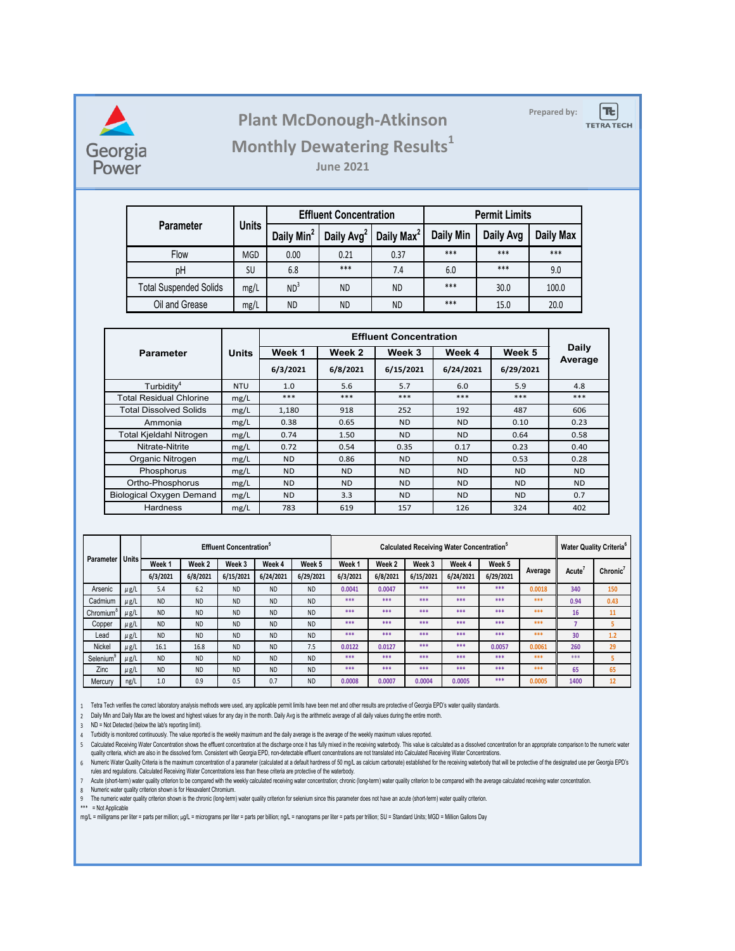

## **Prepared by: Plant McDonough-Atkinson**

 $|\mathbf{t}|$ 

**TETRA TECH** 

## **Monthly Dewatering Results<sup>1</sup>**

**June 2021**

|                               | <b>Units</b> |                        | <b>Effluent Concentration</b> |                        | <b>Permit Limits</b> |           |                  |  |
|-------------------------------|--------------|------------------------|-------------------------------|------------------------|----------------------|-----------|------------------|--|
| <b>Parameter</b>              |              | Daily Min <sup>2</sup> | Daily Avg <sup>2</sup>        | Daily Max <sup>2</sup> | <b>Daily Min</b>     | Daily Avg | <b>Daily Max</b> |  |
| <b>Flow</b>                   | <b>MGD</b>   | 0.00                   | 0.21                          | 0.37                   | ***                  | ***       | ***              |  |
| pH                            | SU           | 6.8                    | ***                           | 7.4                    | 6.0                  | ***       | 9.0              |  |
| <b>Total Suspended Solids</b> | mg/L         | ND <sup>3</sup>        | <b>ND</b>                     | ND                     | ***                  | 30.0      | 100.0            |  |
| Oil and Grease                | mg/L         | <b>ND</b>              | <b>ND</b>                     | ND                     | $***$                | 15.0      | 20.0             |  |

| <b>Parameter</b>                | <b>Units</b> | Week 1         | Week 2<br>Week 3 |           | Week 4         | Week 5    | <b>Daily</b> |  |
|---------------------------------|--------------|----------------|------------------|-----------|----------------|-----------|--------------|--|
|                                 |              | 6/3/2021       | 6/8/2021         | 6/15/2021 | 6/24/2021      | 6/29/2021 | Average      |  |
| Turbidity <sup>4</sup>          | <b>NTU</b>   | 1.0            | 5.6              | 5.7       | 6.0            | 5.9       | 4.8          |  |
| <b>Total Residual Chlorine</b>  | mg/L         | $***$          | $***$            | $***$     | ***            | $***$     | ***          |  |
| <b>Total Dissolved Solids</b>   | mg/L         | 1,180          | 918              | 252       | 192            | 487       | 606          |  |
| Ammonia                         | mg/L         | 0.38           | 0.65             | ND.       | N <sub>D</sub> | 0.10      | 0.23         |  |
| Total Kjeldahl Nitrogen         | mg/L         | 0.74           | 1.50             | <b>ND</b> | <b>ND</b>      | 0.64      | 0.58         |  |
| Nitrate-Nitrite                 | mg/L         | 0.72           | 0.54             | 0.35      | 0.17           | 0.23      | 0.40         |  |
| Organic Nitrogen                | mg/L         | ND.            | 0.86             | ND.       | <b>ND</b>      | 0.53      | 0.28         |  |
| Phosphorus                      | mg/L         | <b>ND</b>      | <b>ND</b>        | ND.       | <b>ND</b>      | <b>ND</b> | ND.          |  |
| Ortho-Phosphorus                | mg/L         | N <sub>D</sub> | N <sub>D</sub>   | ND.       | ND.            | <b>ND</b> | <b>ND</b>    |  |
| <b>Biological Oxygen Demand</b> | mg/L         | <b>ND</b>      | 3.3              | <b>ND</b> | <b>ND</b>      | <b>ND</b> | 0.7          |  |
| <b>Hardness</b>                 | mg/L         | 783            | 619              | 157       | 126            | 324       | 402          |  |

| <b>Parameter</b>      |              | <b>Effluent Concentration</b> <sup>®</sup> |           |           |           |           | Calculated Receiving Water Concentration <sup>°</sup> |          |           |           |           | <b>Water Quality Criteria</b> <sup>6</sup> |                    |          |
|-----------------------|--------------|--------------------------------------------|-----------|-----------|-----------|-----------|-------------------------------------------------------|----------|-----------|-----------|-----------|--------------------------------------------|--------------------|----------|
|                       | <b>Units</b> | Week 1                                     | Week 2    | Week 3    | Week 4    | Week 5    | Week 1                                                | Week 2   | Week 3    | Week 4    | Week 5    | Average                                    | Acute <sup>®</sup> | Chronic' |
|                       |              | 6/3/2021                                   | 6/8/2021  | 6/15/2021 | 6/24/2021 | 6/29/2021 | 6/3/2021                                              | 6/8/2021 | 6/15/2021 | 6/24/2021 | 6/29/2021 |                                            |                    |          |
| Arsenic               | $\mu$ g/L    | 5.4                                        | 6.2       | <b>ND</b> | <b>ND</b> | <b>ND</b> | 0.0041                                                | 0.0047   | ***       | ***       | ***       | 0.0018                                     | 340                | 150      |
| Cadmium               | $\mu$ g/L    | <b>ND</b>                                  | <b>ND</b> | <b>ND</b> | <b>ND</b> | <b>ND</b> | ***                                                   | ***      | ***       | ***       | ***       | ***                                        | 0.94               | 0.43     |
| Chromium <sup>o</sup> | $\mu$ g/L    | <b>ND</b>                                  | <b>ND</b> | <b>ND</b> | <b>ND</b> | <b>ND</b> | ***                                                   | ***      | ***       | ***       | ***       | ***                                        | 16                 | 11       |
| Copper                | $\mu$ g/L    | <b>ND</b>                                  | <b>ND</b> | <b>ND</b> | <b>ND</b> | <b>ND</b> | ***                                                   | ***      | ***       | ***       | ***       | ***                                        |                    |          |
| Lead                  | μg/L         | <b>ND</b>                                  | <b>ND</b> | <b>ND</b> | <b>ND</b> | <b>ND</b> | ***                                                   | ***      | ***       | ***       | ***       | ***                                        | 30                 | 1.2      |
| <b>Nickel</b>         | μg/L         | 16.1                                       | 16.8      | <b>ND</b> | <b>ND</b> | 7.5       | 0.0122                                                | 0.0127   | ***       | ***       | 0.0057    | 0.0061                                     | 260                | 29       |
| Selenium <sup>9</sup> | μg/L         | <b>ND</b>                                  | <b>ND</b> | <b>ND</b> | <b>ND</b> | <b>ND</b> | ***                                                   | ***      | ***       | ***       | ***       | ***                                        | ***                |          |
| Zinc                  | μg/L         | <b>ND</b>                                  | <b>ND</b> | <b>ND</b> | <b>ND</b> | <b>ND</b> | ***                                                   | ***      | ***       | ***       | ***       | ***                                        | 65                 | 65       |
| Mercury               | ng/L         | 1.0                                        | 0.9       | 0.5       | 0.7       | <b>ND</b> | 0.0008                                                | 0.0007   | 0.0004    | 0.0005    | ***       | 0.0005                                     | 1400               | 12       |

1 Tetra Tech verifies the correct laboratory analysis methods were used, any applicable permit limits have been met and other results are protective of Georgia EPD's water quality standards.

2 Daily Min and Daily Max are the lowest and highest values for any day in the month. Daily Avg is the arithmetic average of all daily values during the entire month.

3 ND = Not Detected (below the lab's reporting limit).

4 Turbidity is monitored continuously. The value reported is the weekly maximum and the daily average is the average of the weekly maximum values reported.

5 Calculated Receiving Water Concentration shows the effluent concentration at the discnarge once it has fully mixed in the receiving waterbody. This value is calculated as a dissolved concentration for an appropriate comp quality criteria, which are also in the dissolved form. Consistent with Georgia EPD, non-detectable effluent concentrations are not translated into Calculated Receiving Water Concentrations.

6 Numeric water Quality Criteria is the maximum concentration of a parameter (calculated at a default nardness of 50 mg/L as calcium carbonate) established for the receiving waterbody that will be protective of the designate rules and regulations. Calculated Receiving Water Concentrations less than these criteria are protective of the waterbody.

7 Acute (short-term) water quality criterion to be compared with the weekly calculated recelving water concentration; chronic (long-term) water quality criterion to be compared with the average calculated receiving water c

8 Numeric water quality criterion shown is for Hexavalent Chromium.

9 The numeric water quality criterion shown is the chronic (long-term) water quality criterion for selenium since this parameter does not have an acute (short-term) water quality criterion.

\*\*\* = Not Applicable

mg/L = milligrams per liter = parts per million; µg/L = micrograms per liter = parts per billion; ng/L = nanograms per liter = parts per trillion; SU = Standard Units; MGD = Million Gallons Day